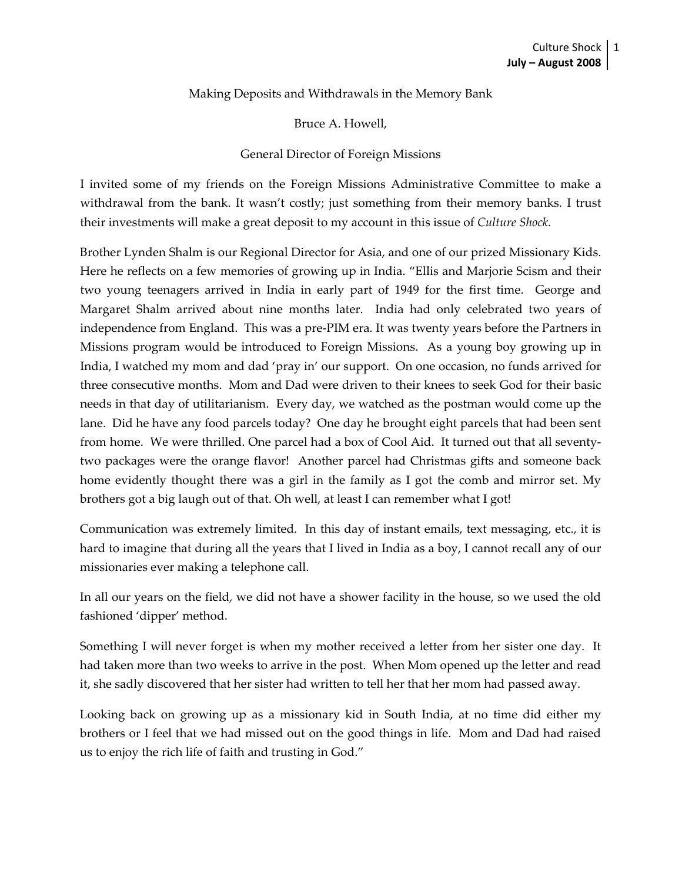## Making Deposits and Withdrawals in the Memory Bank

Bruce A. Howell,

## General Director of Foreign Missions

I invited some of my friends on the Foreign Missions Administrative Committee to make a withdrawal from the bank. It wasn't costly; just something from their memory banks. I trust their investments will make a great deposit to my account in this issue of *Culture Shock*.

Brother Lynden Shalm is our Regional Director for Asia, and one of our prized Missionary Kids. Here he reflects on a few memories of growing up in India. "Ellis and Marjorie Scism and their two young teenagers arrived in India in early part of 1949 for the first time. George and Margaret Shalm arrived about nine months later. India had only celebrated two years of independence from England. This was a pre‐PIM era. It was twenty years before the Partners in Missions program would be introduced to Foreign Missions. As a young boy growing up in India, I watched my mom and dad 'pray in' our support. On one occasion, no funds arrived for three consecutive months. Mom and Dad were driven to their knees to seek God for their basic needs in that day of utilitarianism. Every day, we watched as the postman would come up the lane. Did he have any food parcels today? One day he brought eight parcels that had been sent from home. We were thrilled. One parcel had a box of Cool Aid. It turned out that all seventy‐ two packages were the orange flavor! Another parcel had Christmas gifts and someone back home evidently thought there was a girl in the family as I got the comb and mirror set. My brothers got a big laugh out of that. Oh well, at least I can remember what I got!

Communication was extremely limited. In this day of instant emails, text messaging, etc., it is hard to imagine that during all the years that I lived in India as a boy, I cannot recall any of our missionaries ever making a telephone call.

In all our years on the field, we did not have a shower facility in the house, so we used the old fashioned 'dipper' method.

Something I will never forget is when my mother received a letter from her sister one day. It had taken more than two weeks to arrive in the post. When Mom opened up the letter and read it, she sadly discovered that her sister had written to tell her that her mom had passed away.

Looking back on growing up as a missionary kid in South India, at no time did either my brothers or I feel that we had missed out on the good things in life. Mom and Dad had raised us to enjoy the rich life of faith and trusting in God."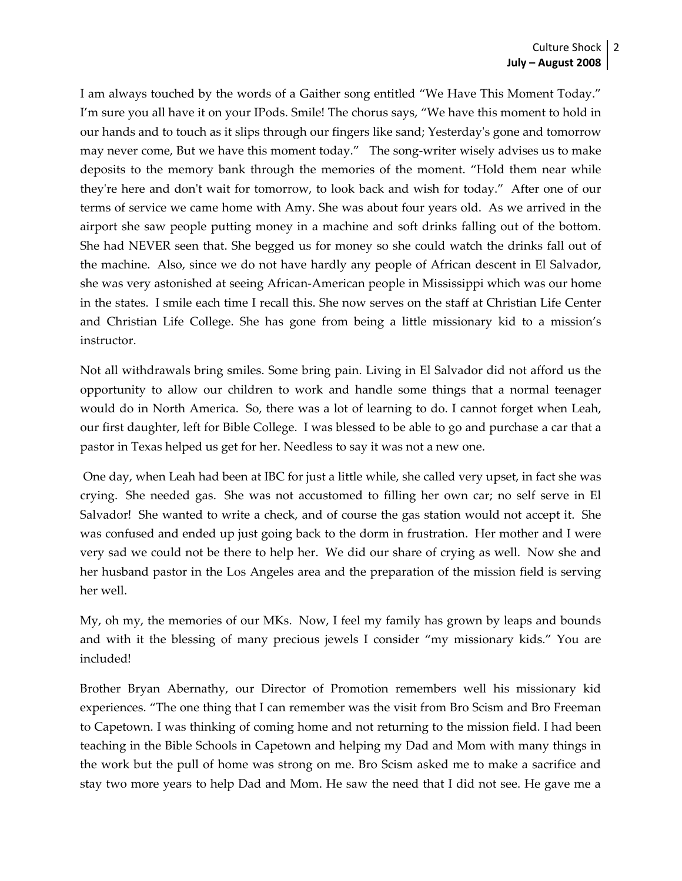I am always touched by the words of a Gaither song entitled "We Have This Moment Today." I'm sure you all have it on your IPods. Smile! The chorus says, "We have this moment to hold in our hands and to touch as it slips through our fingers like sand; Yesterdayʹs gone and tomorrow may never come, But we have this moment today." The song-writer wisely advises us to make deposits to the memory bank through the memories of the moment. "Hold them near while they're here and don't wait for tomorrow, to look back and wish for today." After one of our terms of service we came home with Amy. She was about four years old. As we arrived in the airport she saw people putting money in a machine and soft drinks falling out of the bottom. She had NEVER seen that. She begged us for money so she could watch the drinks fall out of the machine. Also, since we do not have hardly any people of African descent in El Salvador, she was very astonished at seeing African‐American people in Mississippi which was our home in the states. I smile each time I recall this. She now serves on the staff at Christian Life Center and Christian Life College. She has gone from being a little missionary kid to a mission's instructor.

Not all withdrawals bring smiles. Some bring pain. Living in El Salvador did not afford us the opportunity to allow our children to work and handle some things that a normal teenager would do in North America. So, there was a lot of learning to do. I cannot forget when Leah, our first daughter, left for Bible College. I was blessed to be able to go and purchase a car that a pastor in Texas helped us get for her. Needless to say it was not a new one.

One day, when Leah had been at IBC for just a little while, she called very upset, in fact she was crying. She needed gas. She was not accustomed to filling her own car; no self serve in El Salvador! She wanted to write a check, and of course the gas station would not accept it. She was confused and ended up just going back to the dorm in frustration. Her mother and I were very sad we could not be there to help her. We did our share of crying as well. Now she and her husband pastor in the Los Angeles area and the preparation of the mission field is serving her well.

My, oh my, the memories of our MKs. Now, I feel my family has grown by leaps and bounds and with it the blessing of many precious jewels I consider "my missionary kids." You are included!

Brother Bryan Abernathy, our Director of Promotion remembers well his missionary kid experiences. "The one thing that I can remember was the visit from Bro Scism and Bro Freeman to Capetown. I was thinking of coming home and not returning to the mission field. I had been teaching in the Bible Schools in Capetown and helping my Dad and Mom with many things in the work but the pull of home was strong on me. Bro Scism asked me to make a sacrifice and stay two more years to help Dad and Mom. He saw the need that I did not see. He gave me a